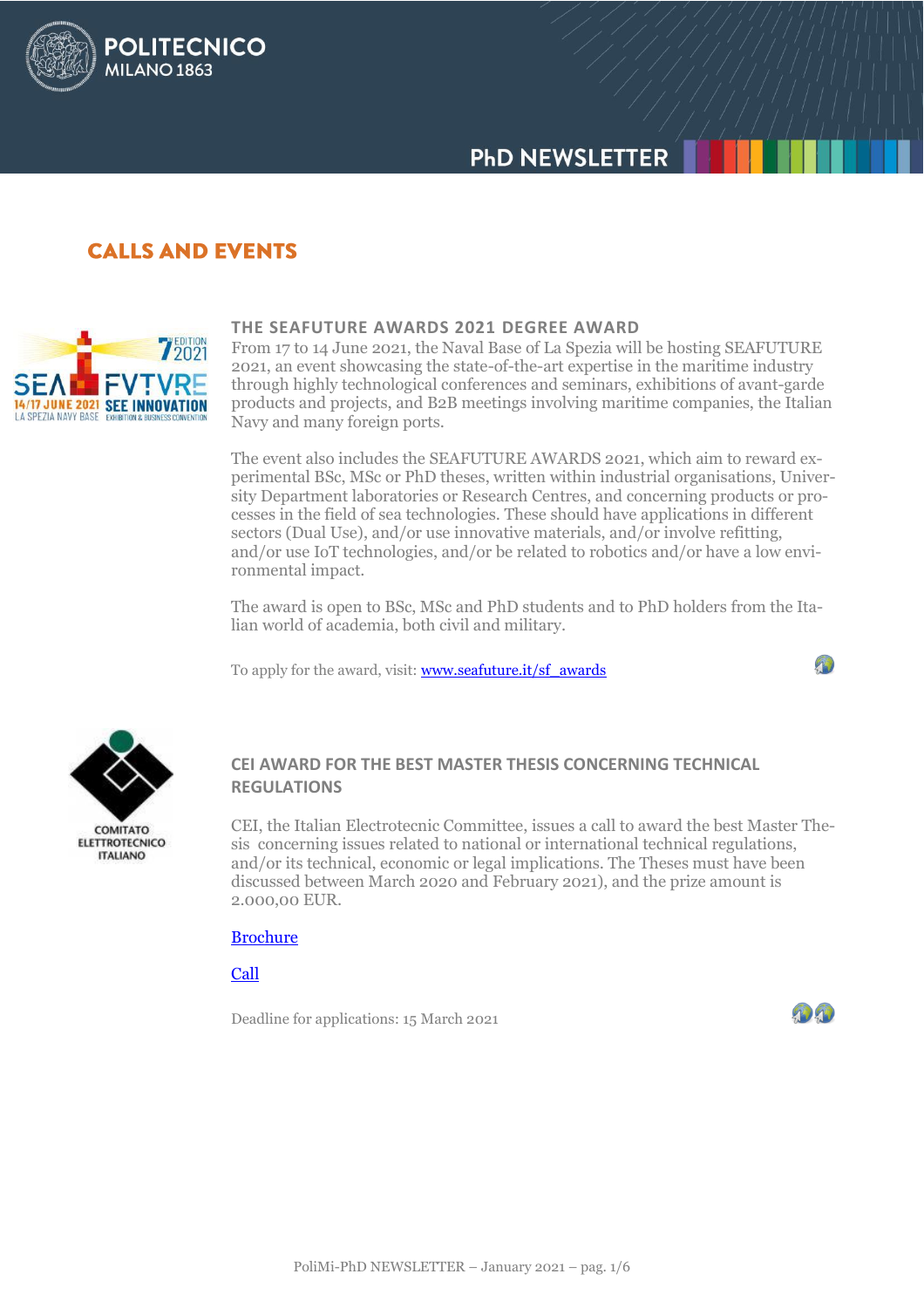# **PHD NEWSLETTER**

## **CALLS AND EVENTS**

**POLITECNICO** 

**MILANO 1863** 



#### **THE SEAFUTURE AWARDS 2021 DEGREE AWARD**

From 17 to 14 June 2021, the Naval Base of La Spezia will be hosting SEAFUTURE 2021, an event showcasing the state-of-the-art expertise in the maritime industry through highly technological conferences and seminars, exhibitions of avant-garde products and projects, and B2B meetings involving maritime companies, the Italian Navy and many foreign ports.

The event also includes the SEAFUTURE AWARDS 2021, which aim to reward experimental BSc, MSc or PhD theses, written within industrial organisations, University Department laboratories or Research Centres, and concerning products or processes in the field of sea technologies. These should have applications in different sectors (Dual Use), and/or use innovative materials, and/or involve refitting, and/or use IoT technologies, and/or be related to robotics and/or have a low environmental impact.

The award is open to BSc, MSc and PhD students and to PhD holders from the Italian world of academia, both civil and military.

To apply for the award, visit: **www.seafuture.it/sf\_awards** 



**ELETTROTECNICO ITALIANO** 

### **CEI AWARD FOR THE BEST MASTER THESIS CONCERNING TECHNICAL REGULATIONS**

CEI, the Italian Electrotecnic Committee, issues a call to award the best Master Thesis concerning issues related to national or international technical regulations, and/or its technical, economic or legal implications. The Theses must have been discussed between March 2020 and February 2021), and the prize amount is 2.000,00 EUR.

#### [Brochure](https://www.ceinorme.it/doc/locandine/LOCTESI2021.pdf)

[Call](https://www.ceinorme.it/doc/locandine/BANDOTESI2021.pdf)

Deadline for applications: 15 March 2021



 $\mathcal{P}$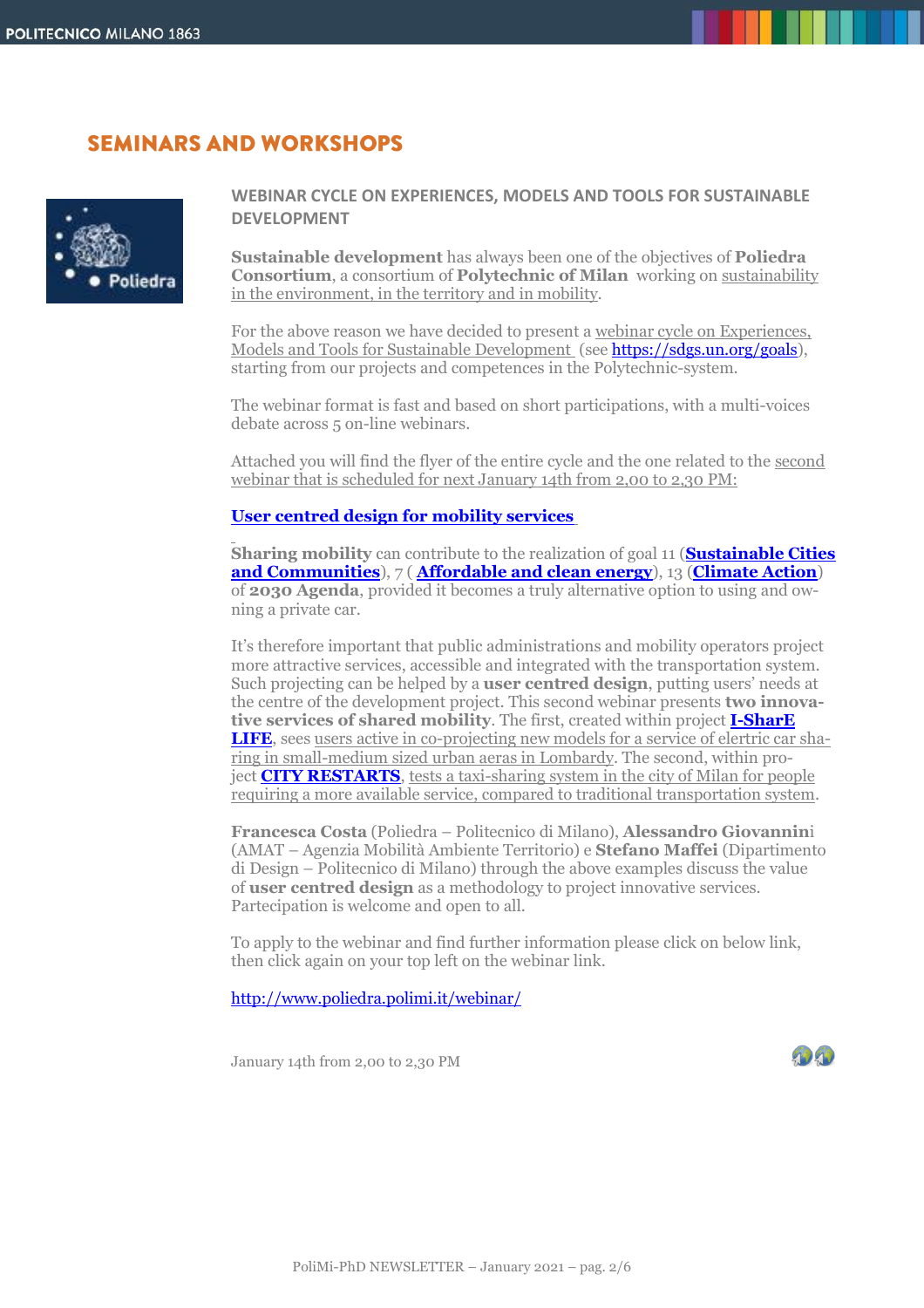## **SEMINARS AND WORKSHOPS**



#### **WEBINAR CYCLE ON EXPERIENCES, MODELS AND TOOLS FOR SUSTAINABLE DEVELOPMENT**

**Sustainable development** has always been one of the objectives of **Poliedra Consortium**, a consortium of **Polytechnic of Milan** working on sustainability in the environment, in the territory and in mobility.

For the above reason we have decided to present a webinar cycle on Experiences, Models and Tools for Sustainable Development (see [https://sdgs.un.org/goals\)](https://sdgs.un.org/goals), starting from our projects and competences in the Polytechnic-system.

The webinar format is fast and based on short participations, with a multi-voices debate across 5 on-line webinars.

Attached you will find the flyer of the entire cycle and the one related to the second webinar that is scheduled for next January 14th from 2,00 to 2,30 PM:

#### **[User centred design for mobility services](http://www.poliedra.polimi.it/webinar/)**

**Sharing mobility** can contribute to the realization of goal 11 (**[Sustainable Cities](https://sdgs.un.org/goals/goal11)  [and Communities](https://sdgs.un.org/goals/goal11)**), 7 ( **[Affordable and clean energy](https://sdgs.un.org/goals/goal7)**), 13 (**[Climate Action](https://www.un.org/sustainabledevelopment/climate-change/)**) of **2030 Agenda**, provided it becomes a truly alternative option to using and owning a private car.

It's therefore important that public administrations and mobility operators project more attractive services, accessible and integrated with the transportation system. Such projecting can be helped by a **user centred design**, putting users' needs at the centre of the development project. This second webinar presents **two innovative services of shared mobility**. The first, created within project **[I-SharE](http://www.poliedra.polimi.it/project/i-share-life/)  [LIFE](http://www.poliedra.polimi.it/project/i-share-life/)**, sees users active in co-projecting new models for a service of elertric car sharing in small-medium sized urban aeras in Lombardy. The second, within project **[CITY RESTARTS](https://www.amat-mi.it/it/progetti/city-restarts/)**, tests a taxi-sharing system in the city of Milan for people requiring a more available service, compared to traditional transportation system.

**Francesca Costa** (Poliedra – Politecnico di Milano), **Alessandro Giovannin**i (AMAT – Agenzia Mobilità Ambiente Territorio) e **Stefano Maffei** (Dipartimento di Design – Politecnico di Milano) through the above examples discuss the value of **user centred design** as a methodology to project innovative services. Partecipation is welcome and open to all.

To apply to the webinar and find further information please click on below link, then click again on your top left on the webinar link.

<http://www.poliedra.polimi.it/webinar/>

January 14th from 2,00 to 2,30 PM

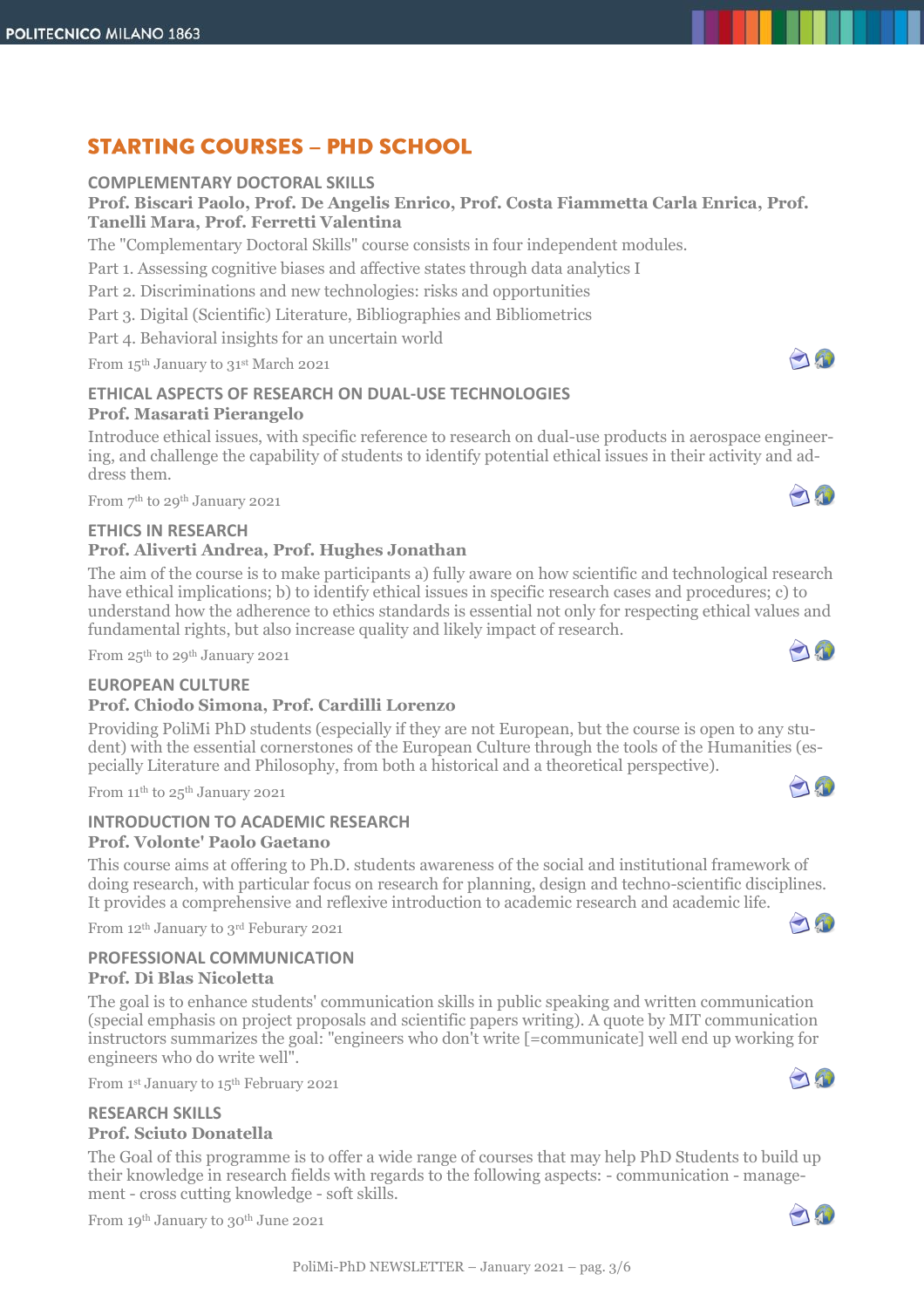# **STARTING COURSES - PHD SCHOOL**

## **COMPLEMENTARY DOCTORAL SKILLS**

**Prof. Biscari Paolo, Prof. De Angelis Enrico, Prof. Costa Fiammetta Carla Enrica, Prof. Tanelli Mara, Prof. Ferretti Valentina**

The "Complementary Doctoral Skills" course consists in four independent modules.

Part 1. Assessing cognitive biases and affective states through data analytics I

Part 2. Discriminations and new technologies: risks and opportunities

Part 3. Digital (Scientific) Literature, Bibliographies and Bibliometrics

Part 4. Behavioral insights for an uncertain world

From 15 th January to 31st March 2021

### **ETHICAL ASPECTS OF RESEARCH ON DUAL-USE TECHNOLOGIES Prof. Masarati Pierangelo**

Introduce ethical issues, with specific reference to research on dual-use products in aerospace engineering, and challenge the capability of students to identify potential ethical issues in their activity and address them.

From 7 th to 29th January 2021

#### **ETHICS IN RESEARCH**

#### **Prof. Aliverti Andrea, Prof. Hughes Jonathan**

The aim of the course is to make participants a) fully aware on how scientific and technological research have ethical implications; b) to identify ethical issues in specific research cases and procedures; c) to understand how the adherence to ethics standards is essential not only for respecting ethical values and fundamental rights, but also increase quality and likely impact of research.

From 25th to 29th January 2021

#### **EUROPEAN CULTURE**

#### **Prof. Chiodo Simona, Prof. Cardilli Lorenzo**

Providing PoliMi PhD students (especially if they are not European, but the course is open to any student) with the essential cornerstones of the European Culture through the tools of the Humanities (especially Literature and Philosophy, from both a historical and a theoretical perspective).

From 11<sup>th</sup> to 25<sup>th</sup> January 2021

#### **INTRODUCTION TO ACADEMIC RESEARCH Prof. Volonte' Paolo Gaetano**

This course aims at offering to Ph.D. students awareness of the social and institutional framework of doing research, with particular focus on research for planning, design and techno-scientific disciplines. It provides a comprehensive and reflexive introduction to academic research and academic life.

From 12th January to 3rd Feburary 2021

#### **PROFESSIONAL COMMUNICATION Prof. Di Blas Nicoletta**

The goal is to enhance students' communication skills in public speaking and written communication (special emphasis on project proposals and scientific papers writing). A quote by MIT communication instructors summarizes the goal: "engineers who don't write [=communicate] well end up working for engineers who do write well".

From 1st January to 15th February 2021

#### **RESEARCH SKILLS Prof. Sciuto Donatella**

The Goal of this programme is to offer a wide range of courses that may help PhD Students to build up their knowledge in research fields with regards to the following aspects: - communication - management - cross cutting knowledge - soft skills.

From 19th January to 30th June 2021





70







0



 $\bigcap_{i=1}^n$ 



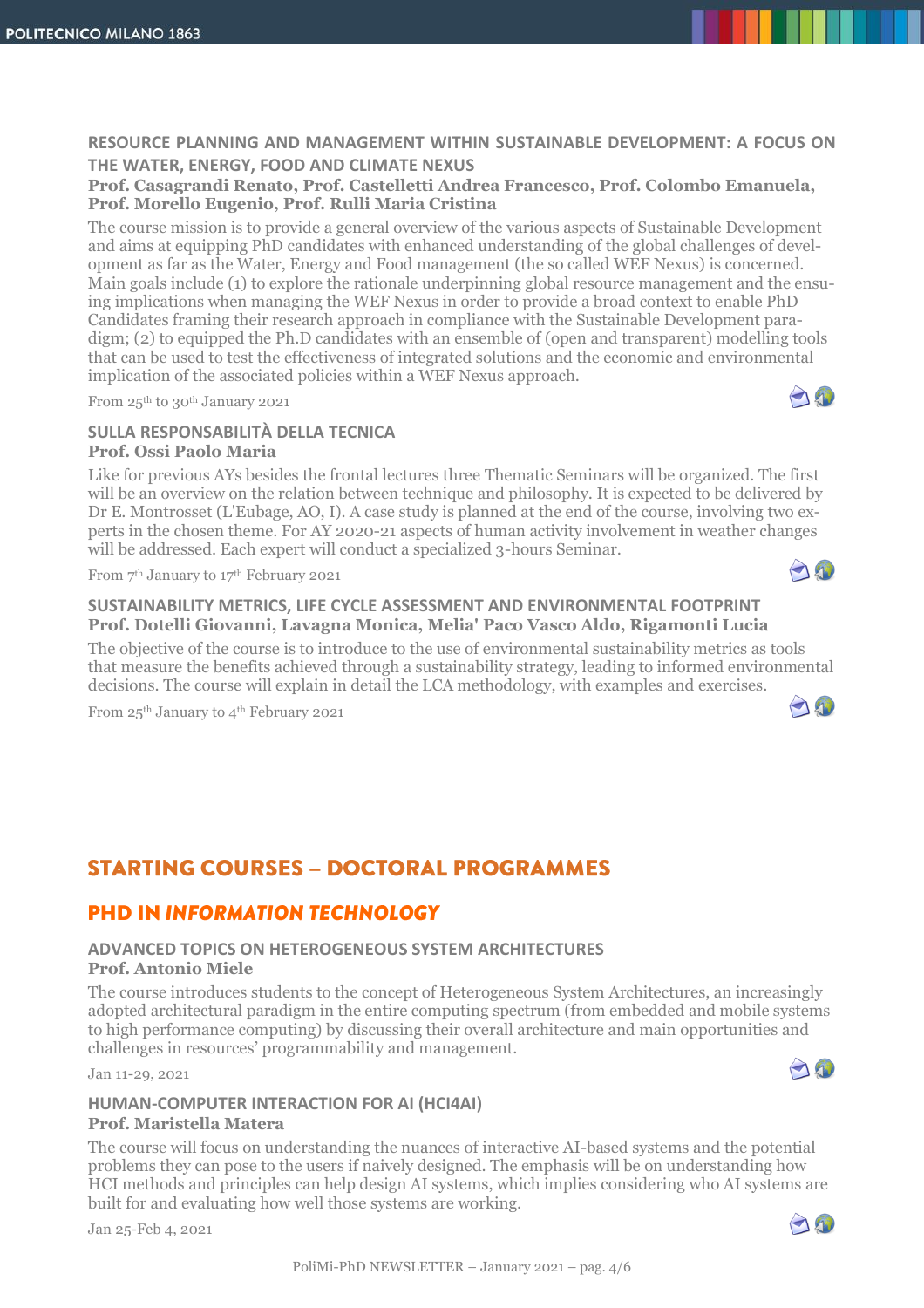#### **RESOURCE PLANNING AND MANAGEMENT WITHIN SUSTAINABLE DEVELOPMENT: A FOCUS ON THE WATER, ENERGY, FOOD AND CLIMATE NEXUS**

**Prof. Casagrandi Renato, Prof. Castelletti Andrea Francesco, Prof. Colombo Emanuela, Prof. Morello Eugenio, Prof. Rulli Maria Cristina**

The course mission is to provide a general overview of the various aspects of Sustainable Development and aims at equipping PhD candidates with enhanced understanding of the global challenges of development as far as the Water, Energy and Food management (the so called WEF Nexus) is concerned. Main goals include (1) to explore the rationale underpinning global resource management and the ensuing implications when managing the WEF Nexus in order to provide a broad context to enable PhD Candidates framing their research approach in compliance with the Sustainable Development paradigm; (2) to equipped the Ph.D candidates with an ensemble of (open and transparent) modelling tools that can be used to test the effectiveness of integrated solutions and the economic and environmental implication of the associated policies within a WEF Nexus approach.

From 25th to 30th January 2021

#### **SULLA RESPONSABILITÀ DELLA TECNICA Prof. Ossi Paolo Maria**

Like for previous AYs besides the frontal lectures three Thematic Seminars will be organized. The first will be an overview on the relation between technique and philosophy. It is expected to be delivered by Dr E. Montrosset (L'Eubage, AO, I). A case study is planned at the end of the course, involving two experts in the chosen theme. For AY 2020-21 aspects of human activity involvement in weather changes will be addressed. Each expert will conduct a specialized 3-hours Seminar.

From 7 th January to 17th February 2021

#### **SUSTAINABILITY METRICS, LIFE CYCLE ASSESSMENT AND ENVIRONMENTAL FOOTPRINT Prof. Dotelli Giovanni, Lavagna Monica, Melia' Paco Vasco Aldo, Rigamonti Lucia**

The objective of the course is to introduce to the use of environmental sustainability metrics as tools that measure the benefits achieved through a sustainability strategy, leading to informed environmental decisions. The course will explain in detail the LCA methodology, with examples and exercises.

From 25<sup>th</sup> January to 4<sup>th</sup> February 2021

## **STARTING COURSES - DOCTORAL PROGRAMMES**

## **PHD IN INFORMATION TECHNOLOGY**

## **ADVANCED TOPICS ON HETEROGENEOUS SYSTEM ARCHITECTURES**

#### **Prof. Antonio Miele**

The course introduces students to the concept of Heterogeneous System Architectures, an increasingly adopted architectural paradigm in the entire computing spectrum (from embedded and mobile systems to high performance computing) by discussing their overall architecture and main opportunities and challenges in resources' programmability and management.

Jan 11-29, 2021

### **HUMAN-COMPUTER INTERACTION FOR AI (HCI4AI)**

#### **Prof. Maristella Matera**

The course will focus on understanding the nuances of interactive AI-based systems and the potential problems they can pose to the users if naively designed. The emphasis will be on understanding how HCI methods and principles can help design AI systems, which implies considering who AI systems are built for and evaluating how well those systems are working.

Jan 25-Feb 4, 2021





AO



 $\mathbf{r}$ 

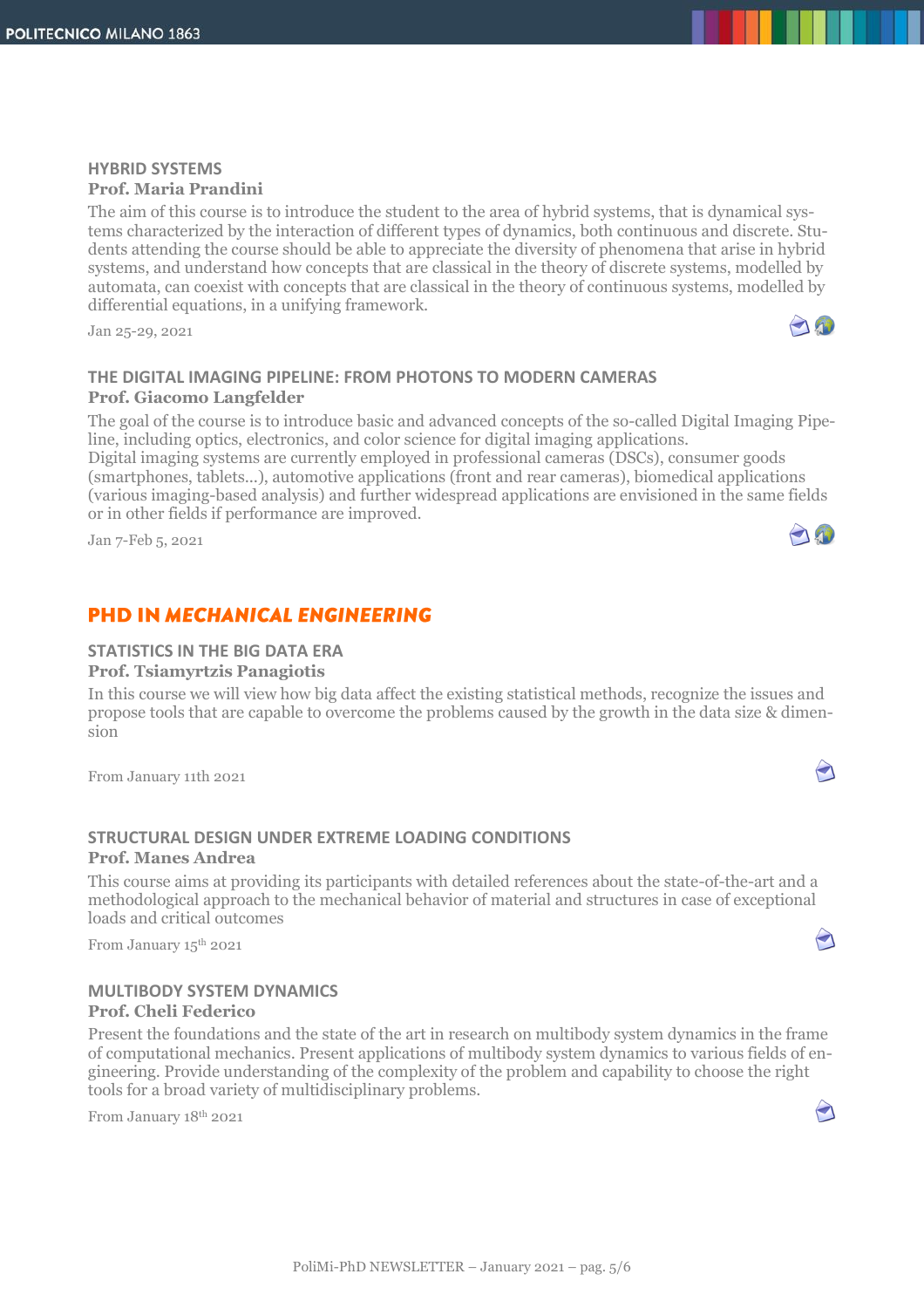### **HYBRID SYSTEMS Prof. Maria Prandini**

The aim of this course is to introduce the student to the area of hybrid systems, that is dynamical systems characterized by the interaction of different types of dynamics, both continuous and discrete. Students attending the course should be able to appreciate the diversity of phenomena that arise in hybrid systems, and understand how concepts that are classical in the theory of discrete systems, modelled by automata, can coexist with concepts that are classical in the theory of continuous systems, modelled by differential equations, in a unifying framework.

Jan 25-29, 2021

### **THE DIGITAL IMAGING PIPELINE: FROM PHOTONS TO MODERN CAMERAS Prof. Giacomo Langfelder**

The goal of the course is to introduce basic and advanced concepts of the so-called Digital Imaging Pipeline, including optics, electronics, and color science for digital imaging applications.

Digital imaging systems are currently employed in professional cameras (DSCs), consumer goods (smartphones, tablets...), automotive applications (front and rear cameras), biomedical applications (various imaging-based analysis) and further widespread applications are envisioned in the same fields or in other fields if performance are improved.

Jan 7-Feb 5, 2021

## **PHD IN MECHANICAL ENGINEERING**

#### **STATISTICS IN THE BIG DATA ERA**

**Prof. Tsiamyrtzis Panagiotis**

In this course we will view how big data affect the existing statistical methods, recognize the issues and propose tools that are capable to overcome the problems caused by the growth in the data size & dimension

From January 11th 2021

#### **STRUCTURAL DESIGN UNDER EXTREME LOADING CONDITIONS Prof. Manes Andrea**

This course aims at providing its participants with detailed references about the state-of-the-art and a methodological approach to the mechanical behavior of material and structures in case of exceptional loads and critical outcomes

From January 15<sup>th</sup> 2021

#### **MULTIBODY SYSTEM DYNAMICS Prof. Cheli Federico**

Present the foundations and the state of the art in research on multibody system dynamics in the frame of computational mechanics. Present applications of multibody system dynamics to various fields of engineering. Provide understanding of the complexity of the problem and capability to choose the right tools for a broad variety of multidisciplinary problems.

From January 18th 2021





 $\blacktriangleleft$ 

 $\bigodot$